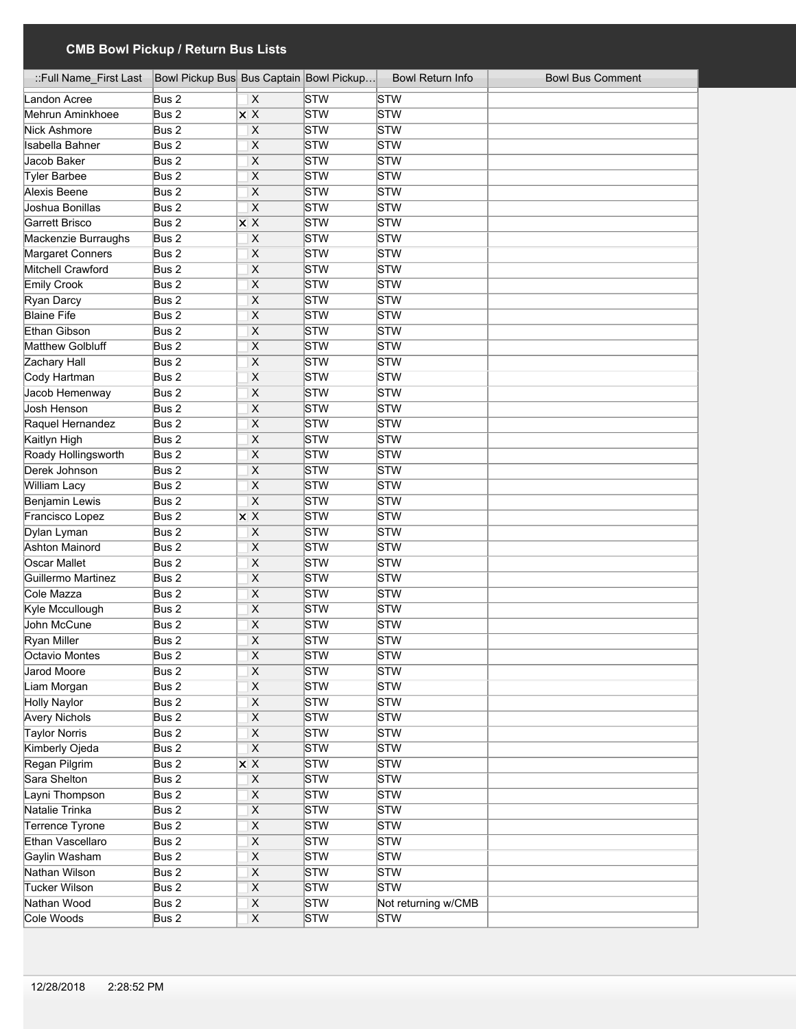| ::Full Name_First Last | Bowl Pickup Bus Bus Captain Bowl Pickup |                                    |                         | <b>Bowl Return Info</b> | <b>Bowl Bus Comment</b> |
|------------------------|-----------------------------------------|------------------------------------|-------------------------|-------------------------|-------------------------|
| Landon Acree           | Bus 2                                   | X                                  | STW                     | STW                     |                         |
| Mehrun Aminkhoee       | Bus 2                                   | $X$ $X$                            | STW                     | STW                     |                         |
| Nick Ashmore           | Bus 2                                   | X                                  | STW                     | STW                     |                         |
| Isabella Bahner        | Bus 2                                   | $\overline{\mathsf{x}}$            | STW                     | STW                     |                         |
| Jacob Baker            | Bus 2                                   | $\overline{\mathsf{x}}$            | STW                     | STW                     |                         |
| Tyler Barbee           | Bus 2                                   | $\overline{\mathsf{x}}$            | STW                     | STW                     |                         |
| Alexis Beene           | Bus 2                                   | $\overline{\mathsf{x}}$            | STW                     | STW                     |                         |
| Joshua Bonillas        | Bus 2                                   | $\overline{\mathsf{x}}$            | STW                     | STW                     |                         |
| Garrett Brisco         | Bus 2                                   | $\overline{\mathsf{x} \mathsf{x}}$ | STW                     | STW                     |                         |
| Mackenzie Burraughs    | Bus 2                                   | X                                  | STW                     | STW                     |                         |
| Margaret Conners       | Bus 2                                   | $\overline{\mathsf{x}}$            | STW                     | STW                     |                         |
| Mitchell Crawford      | Bus 2                                   | $\overline{\mathsf{x}}$            | STW                     | STW                     |                         |
| <b>Emily Crook</b>     | Bus 2                                   | $\overline{\mathsf{x}}$            | STW                     | STW                     |                         |
| Ryan Darcy             | Bus 2                                   | $\overline{\mathsf{x}}$            | STW                     | STW                     |                         |
| <b>Blaine Fife</b>     | Bus 2                                   | $\overline{\mathsf{x}}$            | STW                     | STW                     |                         |
| Ethan Gibson           | Bus 2                                   | $\overline{\mathsf{x}}$            | STW                     | STW                     |                         |
| Matthew Golbluff       | Bus 2                                   | $\overline{\mathsf{x}}$            | STW                     | STW                     |                         |
| Zachary Hall           | Bus 2                                   | X                                  | STW                     | STW                     |                         |
| Cody Hartman           | Bus 2                                   | X                                  | STW                     | STW                     |                         |
| Jacob Hemenway         | Bus <sub>2</sub>                        | $\overline{\mathsf{x}}$            | STW                     | STW                     |                         |
| Josh Henson            | Bus 2                                   | $\overline{\mathsf{x}}$            | STW                     | STW                     |                         |
| Raquel Hernandez       | Bus 2                                   | $\overline{\mathsf{x}}$            | STW                     | STW                     |                         |
| Kaitlyn High           | Bus 2                                   | X                                  | STW                     | STW                     |                         |
| Roady Hollingsworth    | Bus 2                                   | $\overline{\mathsf{x}}$            | STW                     | <b>STW</b>              |                         |
| Derek Johnson          | Bus <sub>2</sub>                        | X                                  | STW                     | STW                     |                         |
| <b>William Lacy</b>    | Bus 2                                   | X                                  | STW                     | <b>STW</b>              |                         |
| Benjamin Lewis         | Bus 2                                   | X                                  | STW                     | <b>STW</b>              |                         |
| Francisco Lopez        | Bus 2                                   | $X$ $X$                            | STW                     | <b>STW</b>              |                         |
| Dylan Lyman            | Bus 2                                   | X                                  | STW                     | <b>STW</b>              |                         |
| <b>Ashton Mainord</b>  | Bus 2                                   | X                                  | STW                     | STW                     |                         |
| Oscar Mallet           | Bus 2                                   | X                                  | STW                     | STW                     |                         |
| Guillermo Martinez     | Bus 2                                   | $\overline{\mathsf{x}}$            | STW                     | <b>STW</b>              |                         |
| Cole Mazza             | Bus 2                                   | X                                  | STW                     | <b>STW</b>              |                         |
| Kyle Mccullough        | Bus 2                                   | X                                  | STW                     | STW                     |                         |
| John McCune            | Bus 2                                   | $\overline{\mathsf{x}}$            | STW                     | STW                     |                         |
| <b>Ryan Miller</b>     | Bus 2                                   | $\overline{\mathsf{x}}$            | STW                     | STW                     |                         |
| Octavio Montes         | Bus 2                                   | X                                  | $\overline{\text{STW}}$ | <b>STW</b>              |                         |
| Jarod Moore            | Bus 2                                   | $\overline{\mathsf{x}}$            | STW                     | STW                     |                         |
| Liam Morgan            | Bus 2                                   | $\mathsf X$                        | STW                     | STW                     |                         |
| <b>Holly Naylor</b>    | Bus 2                                   | $\overline{X}$                     | STW                     | STW                     |                         |
| <b>Avery Nichols</b>   | Bus 2                                   | $\overline{\mathsf{X}}$            | STW                     | STW                     |                         |
| <b>Taylor Norris</b>   | Bus 2                                   | $\overline{\mathsf{X}}$            | STW                     | STW                     |                         |
| Kimberly Ojeda         | Bus 2                                   | $\overline{\mathsf{x}}$            | STW                     | STW                     |                         |
| Regan Pilgrim          | Bus 2                                   | $\overline{\mathsf{x}}$ X          | STW                     | STW                     |                         |
| Sara Shelton           | Bus 2                                   | $\overline{\mathsf{X}}$            | STW                     | STW                     |                         |
| Layni Thompson         | Bus 2                                   | $\mathsf X$                        | STW                     | STW                     |                         |
| Natalie Trinka         | Bus 2                                   | $\overline{\mathsf{x}}$            | STW                     | <b>STW</b>              |                         |
| Terrence Tyrone        | Bus 2                                   | $\overline{X}$                     | STW                     | <b>STW</b>              |                         |
| Ethan Vascellaro       | Bus 2                                   | $\overline{X}$                     | STW                     | STW                     |                         |
| Gaylin Washam          | Bus 2                                   | $\boldsymbol{\mathsf{X}}$          | STW                     | STW                     |                         |
| Nathan Wilson          | Bus 2                                   | $\overline{\mathsf{X}}$            | STW                     | <b>STW</b>              |                         |
| <b>Tucker Wilson</b>   | Bus 2                                   | $\overline{\mathsf{x}}$            | STW                     | STW                     |                         |
| Nathan Wood            | Bus 2                                   | $\mathsf X$                        | STW                     | Not returning w/CMB     |                         |
| Cole Woods             | Bus 2                                   | $\overline{X}$                     | STW                     | STW                     |                         |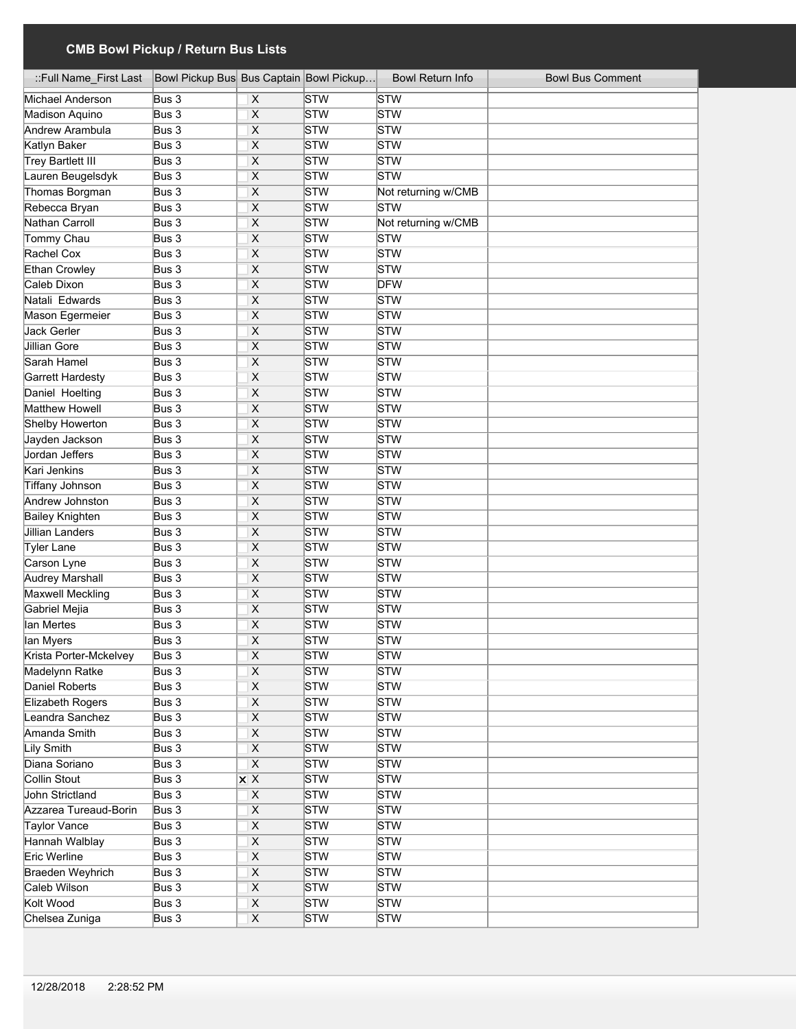| ::Full Name_First Last   | Bowl Pickup Bus Bus Captain Bowl Pickup |                           |     | <b>Bowl Return Info</b> | <b>Bowl Bus Comment</b> |
|--------------------------|-----------------------------------------|---------------------------|-----|-------------------------|-------------------------|
| Michael Anderson         | Bus 3                                   | X                         | STW | STW                     |                         |
| Madison Aquino           | Bus 3                                   | $\overline{\mathsf{x}}$   | STW | STW                     |                         |
| Andrew Arambula          | Bus 3                                   | $\overline{\mathsf{x}}$   | STW | STW                     |                         |
| Katlyn Baker             | Bus 3                                   | $\overline{\mathsf{x}}$   | STW | STW                     |                         |
| <b>Trey Bartlett III</b> | Bus 3                                   | $\overline{\mathsf{x}}$   | STW | STW                     |                         |
| Lauren Beugelsdyk        | Bus 3                                   | $\overline{\mathsf{x}}$   | STW | STW                     |                         |
| Thomas Borgman           | Bus 3                                   | $\overline{\mathsf{x}}$   | STW | Not returning w/CMB     |                         |
| Rebecca Bryan            | Bus 3                                   | $\overline{\mathsf{x}}$   | STW | STW                     |                         |
| <b>Nathan Carroll</b>    | Bus 3                                   | $\overline{\mathsf{x}}$   | STW | Not returning w/CMB     |                         |
| Tommy Chau               | Bus 3                                   | $\overline{\mathsf{x}}$   | STW | <b>STW</b>              |                         |
| Rachel Cox               | Bus 3                                   | $\overline{\mathsf{x}}$   | STW | <b>STW</b>              |                         |
| Ethan Crowley            | Bus 3                                   | $\overline{\mathsf{x}}$   | STW | <b>STW</b>              |                         |
| Caleb Dixon              | Bus 3                                   | $\overline{\mathsf{x}}$   | STW | <b>DFW</b>              |                         |
| Natali Edwards           | Bus 3                                   | X                         | STW | <b>STW</b>              |                         |
| Mason Egermeier          | Bus 3                                   | X                         | STW | STW                     |                         |
| Jack Gerler              | Bus 3                                   | $\overline{\mathsf{x}}$   | STW | <b>STW</b>              |                         |
| Jillian Gore             | Bus 3                                   | $\overline{\mathsf{x}}$   | STW | <b>STW</b>              |                         |
| Sarah Hamel              | Bus3                                    | X                         | STW | STW                     |                         |
| Garrett Hardesty         | Bus 3                                   | X                         | STW | STW                     |                         |
| Daniel Hoelting          | Bus 3                                   | X                         | STW | <b>STW</b>              |                         |
| Matthew Howell           | Bus 3                                   | X                         | STW | <b>STW</b>              |                         |
| <b>Shelby Howerton</b>   | Bus 3                                   | X                         | STW | <b>STW</b>              |                         |
| Jayden Jackson           | Bus 3                                   | X                         | STW | STW                     |                         |
| Jordan Jeffers           | Bus 3                                   | X                         | STW | <b>STW</b>              |                         |
| Kari Jenkins             | Bus 3                                   | X                         | STW | STW                     |                         |
| <b>Tiffany Johnson</b>   | Bus 3                                   | X                         | STW | <b>STW</b>              |                         |
| Andrew Johnston          | Bus 3                                   | X                         | STW | <b>STW</b>              |                         |
| <b>Bailey Knighten</b>   | Bus 3                                   | X                         | STW | <b>STW</b>              |                         |
| Jillian Landers          | Bus 3                                   | X                         | STW | <b>STW</b>              |                         |
| Tyler Lane               | Bus 3                                   | X                         | STW | STW                     |                         |
| Carson Lyne              | Bus 3                                   | X                         | STW | STW                     |                         |
| <b>Audrey Marshall</b>   | Bus 3                                   | $\overline{\mathsf{x}}$   | STW | <b>STW</b>              |                         |
| <b>Maxwell Meckling</b>  | Bus 3                                   | X                         | STW | <b>STW</b>              |                         |
| Gabriel Mejia            | Bus 3                                   | $\overline{\mathsf{x}}$   | STW | STW                     |                         |
| lan Mertes               | Bus 3                                   | $\overline{\mathsf{x}}$   | STW | STW                     |                         |
| lan Myers                | Bus 3                                   | X                         | STW | STW                     |                         |
| Krista Porter-Mckelvey   | Bus 3                                   | $\overline{\mathsf{x}}$   | STW | <b>STW</b>              |                         |
| Madelynn Ratke           | Bus 3                                   | $\pmb{\times}$            | STW | STW                     |                         |
| Daniel Roberts           | Bus 3                                   | $\mathsf X$               | STW | STW                     |                         |
| Elizabeth Rogers         | Bus 3                                   | $\overline{X}$            | STW | STW                     |                         |
| Leandra Sanchez          | Bus 3                                   | $\overline{\mathsf{X}}$   | STW | STW                     |                         |
| Amanda Smith             | Bus 3                                   | $\mathsf X$               | STW | STW                     |                         |
| <b>Lily Smith</b>        | Bus 3                                   | $\overline{\mathsf{x}}$   | STW | <b>STW</b>              |                         |
| Diana Soriano            | Bus 3                                   | $\overline{\mathsf{x}}$   | STW | <b>STW</b>              |                         |
| Collin Stout             | Bus 3                                   | $\overline{\mathsf{x}}$ X | STW | STW                     |                         |
| John Strictland          | Bus 3                                   | $\mathsf X$               | STW | STW                     |                         |
| Azzarea Tureaud-Borin    | Bus 3                                   | $\overline{X}$            | STW | <b>STW</b>              |                         |
| Taylor Vance             | Bus 3                                   | $\overline{X}$            | STW | <b>STW</b>              |                         |
| Hannah Walblay           | Bus 3                                   | $\pmb{\times}$            | STW | STW                     |                         |
| Eric Werline             | Bus 3                                   | $\mathsf X$               | STW | <b>STW</b>              |                         |
| Braeden Weyhrich         | Bus 3                                   | $\overline{\mathsf{X}}$   | STW | STW                     |                         |
| Caleb Wilson             | Bus 3                                   | $\overline{\mathsf{x}}$   | STW | STW                     |                         |
| Kolt Wood                | Bus 3                                   | $\mathsf X$               | STW | <b>STW</b>              |                         |
| Chelsea Zuniga           | Bus 3                                   | $\overline{\mathsf{x}}$   | STW | <b>STW</b>              |                         |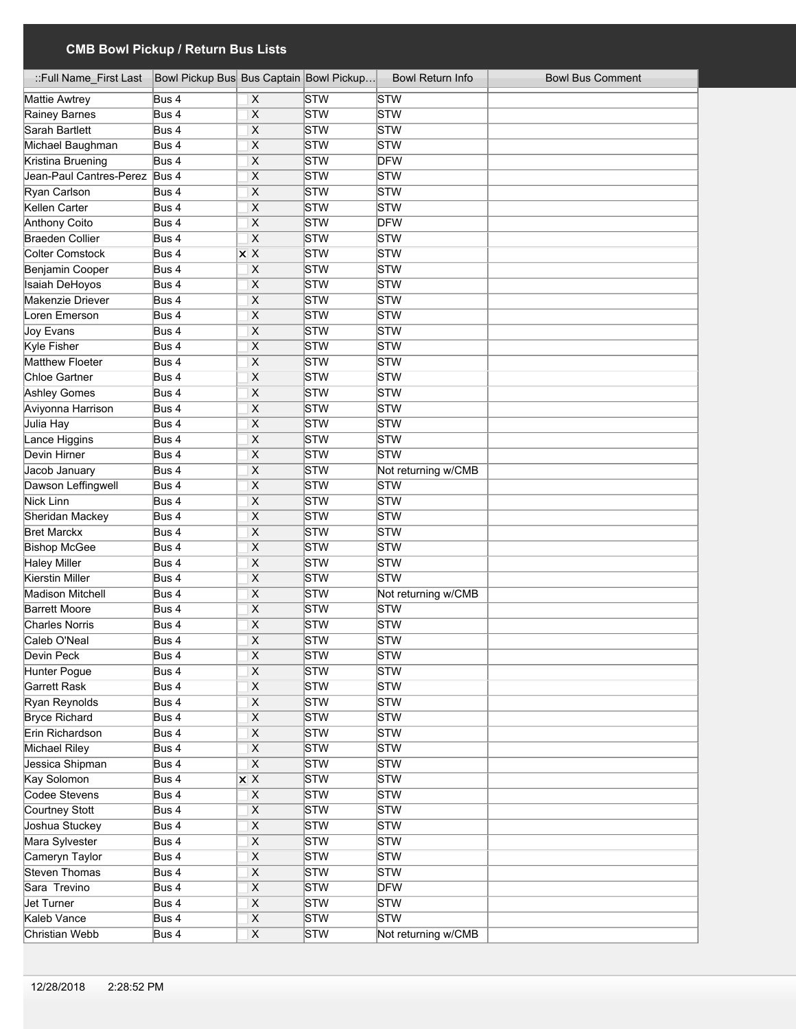| ::Full Name_First Last        | Bowl Pickup Bus Bus Captain Bowl Pickup |                                                |            | <b>Bowl Return Info</b> | <b>Bowl Bus Comment</b> |
|-------------------------------|-----------------------------------------|------------------------------------------------|------------|-------------------------|-------------------------|
| Mattie Awtrey                 | Bus 4                                   | X                                              | <b>STW</b> | STW                     |                         |
| Rainey Barnes                 | Bus 4                                   | X                                              | STW        | STW                     |                         |
| Sarah Bartlett                | Bus 4                                   | X                                              | STW        | STW                     |                         |
| Michael Baughman              | Bus 4                                   | X                                              | STW        | STW                     |                         |
| Kristina Bruening             | Bus 4                                   | $\overline{\mathsf{x}}$                        | STW        | <b>DFW</b>              |                         |
| Jean-Paul Cantres-Perez Bus 4 |                                         | X                                              | STW        | STW                     |                         |
| Ryan Carlson                  | Bus 4                                   | X                                              | STW        | STW                     |                         |
| Kellen Carter                 | Bus 4                                   | $\overline{\mathsf{x}}$                        | STW        | STW                     |                         |
| <b>Anthony Coito</b>          | Bus 4                                   | $\overline{\mathsf{x}}$                        | STW        | <b>DFW</b>              |                         |
| <b>Braeden Collier</b>        | Bus 4                                   | $\overline{\mathsf{x}}$                        | STW        | STW                     |                         |
| <b>Colter Comstock</b>        | Bus 4                                   | $\overline{\mathsf{x}}\ \overline{\mathsf{x}}$ | STW        | STW                     |                         |
| Benjamin Cooper               | Bus 4                                   | $\overline{X}$                                 | <b>STW</b> | STW                     |                         |
| <b>Isaiah DeHoyos</b>         | Bus 4                                   | $\overline{\mathsf{x}}$                        | <b>STW</b> | STW                     |                         |
| Makenzie Driever              | Bus 4                                   | $\overline{\mathsf{x}}$                        | <b>STW</b> | <b>STW</b>              |                         |
| Loren Emerson                 | Bus 4                                   | $\overline{\mathsf{x}}$                        | <b>STW</b> | STW                     |                         |
| Joy Evans                     | Bus 4                                   | $\overline{\mathsf{x}}$                        | STW        | STW                     |                         |
| Kyle Fisher                   | Bus 4                                   | $\overline{\mathsf{x}}$                        | STW        | STW                     |                         |
| Matthew Floeter               | Bus 4                                   | $\overline{\mathsf{x}}$                        | STW        | STW                     |                         |
| Chloe Gartner                 | Bus 4                                   | X                                              | <b>STW</b> | STW                     |                         |
| Ashley Gomes                  | Bus 4                                   | $\overline{\mathsf{x}}$                        | STW        | STW                     |                         |
| Aviyonna Harrison             | Bus 4                                   | X                                              | STW        | STW                     |                         |
| Julia Hay                     | Bus 4                                   | X                                              | STW        | STW                     |                         |
| Lance Higgins                 | Bus 4                                   | X                                              | STW        | STW                     |                         |
| Devin Hirner                  | Bus 4                                   | $\overline{\mathsf{x}}$                        | STW        | <b>STW</b>              |                         |
| Jacob January                 | Bus 4                                   | X                                              | STW        | Not returning w/CMB     |                         |
| Dawson Leffingwell            | Bus 4                                   | $\overline{\mathsf{x}}$                        | STW        | <b>STW</b>              |                         |
| Nick Linn                     | Bus 4                                   | X                                              | STW        | <b>STW</b>              |                         |
| Sheridan Mackey               | Bus 4                                   | X                                              | STW        | STW                     |                         |
| <b>Bret Marckx</b>            | Bus 4                                   | X                                              | <b>STW</b> | <b>STW</b>              |                         |
| <b>Bishop McGee</b>           | Bus 4                                   | X                                              | STW        | <b>STW</b>              |                         |
| <b>Haley Miller</b>           | Bus 4                                   | X                                              | STW        | STW                     |                         |
| Kierstin Miller               | Bus 4                                   | X                                              | STW        | <b>STW</b>              |                         |
| <b>Madison Mitchell</b>       | Bus 4                                   | X                                              | STW        | Not returning w/CMB     |                         |
| <b>Barrett Moore</b>          | Bus 4                                   | X                                              | STW        | STW                     |                         |
| <b>Charles Norris</b>         | Bus 4                                   | X                                              | STW        | STW                     |                         |
| Caleb O'Neal                  | Bus 4                                   | X                                              | STW        | STW                     |                         |
| Devin Peck                    | Bus 4                                   | X                                              | STW        | STW                     |                         |
| Hunter Pogue                  | Bus 4                                   | $\overline{\mathsf{x}}$                        | STW        | STW                     |                         |
| <b>Garrett Rask</b>           | Bus 4                                   | $\overline{\mathsf{X}}$                        | STW        | <b>STW</b>              |                         |
| Ryan Reynolds                 | Bus 4                                   | $\overline{\mathsf{x}}$                        | STW        | STW                     |                         |
| <b>Bryce Richard</b>          | Bus 4                                   | $\overline{\mathsf{x}}$                        | STW        | STW                     |                         |
| Erin Richardson               | Bus 4                                   | $\overline{\mathsf{X}}$                        | STW        | STW                     |                         |
| <b>Michael Riley</b>          | Bus 4                                   | $\overline{\mathsf{x}}$                        | STW        | STW                     |                         |
| Jessica Shipman               | Bus 4                                   | $\overline{\mathsf{x}}$                        | STW        | STW                     |                         |
| Kay Solomon                   | Bus 4                                   | $X$ X                                          | STW        | STW                     |                         |
| Codee Stevens                 | Bus 4                                   | $\boldsymbol{\mathsf{X}}$                      | STW        | STW                     |                         |
| <b>Courtney Stott</b>         | Bus 4                                   | $\overline{\mathsf{x}}$                        | STW        | STW                     |                         |
| Joshua Stuckey                | Bus 4                                   | $\overline{\mathsf{x}}$                        | STW        | STW                     |                         |
| Mara Sylvester                | Bus 4                                   | $\pmb{\mathsf{X}}$                             | STW        | STW                     |                         |
| Cameryn Taylor                | Bus 4                                   | $\overline{\mathsf{X}}$                        | STW        | STW                     |                         |
| <b>Steven Thomas</b>          | Bus 4                                   | $\overline{\mathsf{X}}$                        | STW        | STW                     |                         |
| Sara Trevino                  | Bus 4                                   | $\overline{X}$                                 | STW        | <b>DFW</b>              |                         |
| <b>Jet Turner</b>             | Bus 4                                   | $\overline{X}$                                 | STW        | STW                     |                         |
| Kaleb Vance                   | Bus 4                                   | $\overline{\mathsf{X}}$                        | STW        | STW                     |                         |
| Christian Webb                | Bus 4                                   | $\overline{X}$                                 | STW        | Not returning w/CMB     |                         |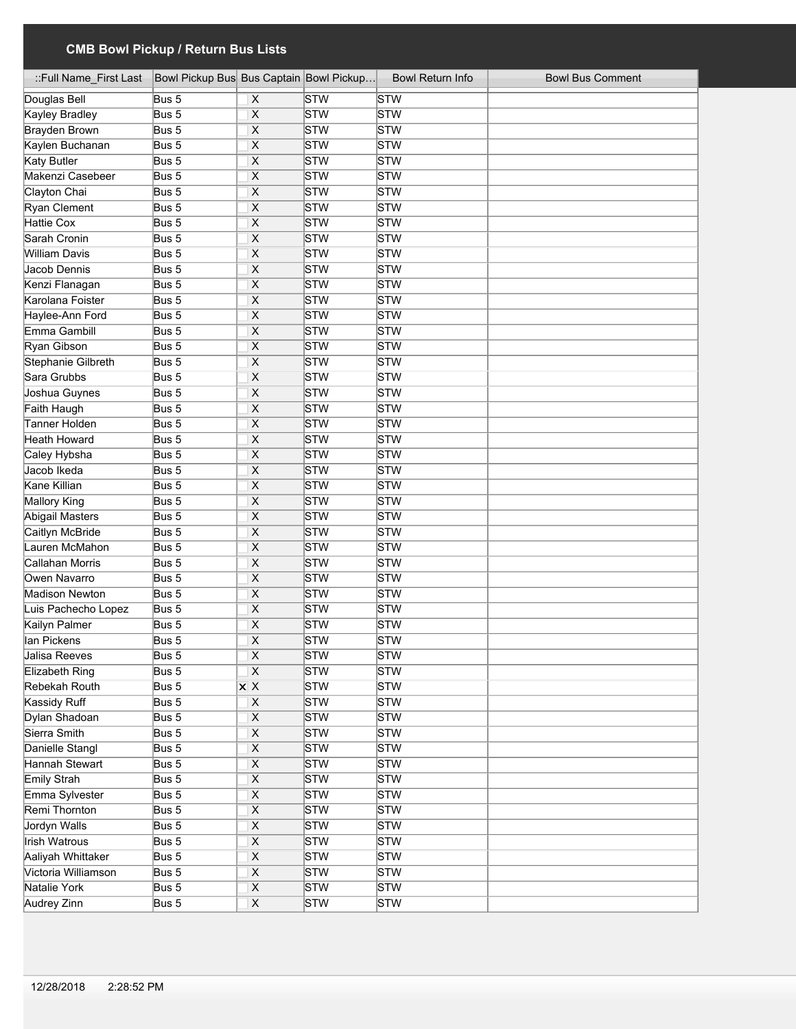| ::Full Name First Last | Bowl Pickup Bus Bus Captain Bowl Pickup |                                                               |            | <b>Bowl Return Info</b> | <b>Bowl Bus Comment</b> |
|------------------------|-----------------------------------------|---------------------------------------------------------------|------------|-------------------------|-------------------------|
| Douglas Bell           | Bus 5                                   | X                                                             | <b>STW</b> | STW                     |                         |
| Kayley Bradley         | Bus 5                                   | $\overline{\mathsf{x}}$                                       | STW        | STW                     |                         |
| <b>Brayden Brown</b>   | Bus 5                                   | $\overline{\mathsf{x}}$                                       | STW        | STW                     |                         |
| Kaylen Buchanan        | Bus 5                                   | X                                                             | STW        | STW                     |                         |
| <b>Katy Butler</b>     | Bus 5                                   | $\overline{\mathsf{x}}$                                       | STW        | STW                     |                         |
| Makenzi Casebeer       | Bus 5                                   | $\overline{\mathsf{x}}$                                       | STW        | STW                     |                         |
| Clayton Chai           | Bus 5                                   | X                                                             | STW        | STW                     |                         |
| Ryan Clement           | Bus 5                                   | $\overline{\mathsf{x}}$                                       | STW        | STW                     |                         |
| <b>Hattie Cox</b>      | Bus 5                                   | $\overline{\mathsf{x}}$                                       | STW        | STW                     |                         |
| Sarah Cronin           | Bus 5                                   | $\overline{\mathsf{x}}$                                       | STW        | STW                     |                         |
| William Davis          | Bus 5                                   | $\overline{\mathsf{x}}$                                       | STW        | STW                     |                         |
| Jacob Dennis           | Bus 5                                   | $\overline{\mathsf{x}}$                                       | STW        | STW                     |                         |
| Kenzi Flanagan         | Bus 5                                   | $\overline{\mathsf{x}}$                                       | STW        | STW                     |                         |
| Karolana Foister       | Bus 5                                   | $\overline{\mathsf{x}}$                                       | STW        | STW                     |                         |
| Haylee-Ann Ford        | Bus 5                                   | $\overline{\mathsf{x}}$                                       | STW        | STW                     |                         |
| Emma Gambill           | Bus 5                                   | $\overline{\mathsf{x}}$                                       | STW        | STW                     |                         |
| Ryan Gibson            | Bus 5                                   | $\overline{\mathsf{x}}$                                       | STW        | STW                     |                         |
| Stephanie Gilbreth     | Bus 5                                   | $\overline{\mathsf{x}}$                                       | STW        | STW                     |                         |
| Sara Grubbs            | Bus 5                                   | $\overline{\mathsf{x}}$                                       | STW        | STW                     |                         |
| Joshua Guynes          | Bus 5                                   | $\overline{\mathsf{x}}$                                       | STW        | STW                     |                         |
| Faith Haugh            | Bus 5                                   | $\overline{\mathsf{x}}$                                       | STW        | STW                     |                         |
| Tanner Holden          | Bus 5                                   | X                                                             | STW        | STW                     |                         |
| Heath Howard           | Bus 5                                   | $\overline{\mathsf{x}}$                                       | STW        | STW                     |                         |
| Caley Hybsha           | Bus 5                                   | $\overline{\mathsf{x}}$                                       | STW        | STW                     |                         |
| Jacob Ikeda            | Bus 5                                   | $\overline{\mathsf{x}}$                                       | STW        | STW                     |                         |
| Kane Killian           | Bus 5                                   | $\overline{\mathsf{x}}$                                       | STW        | STW                     |                         |
| Mallory King           | Bus 5                                   | $\overline{\mathsf{X}}$                                       | STW        | STW                     |                         |
| Abigail Masters        | Bus 5                                   | X                                                             | STW        | STW                     |                         |
| Caitlyn McBride        | Bus 5                                   | X                                                             | STW        | <b>STW</b>              |                         |
| Lauren McMahon         | Bus 5                                   | X                                                             | STW        | STW                     |                         |
| Callahan Morris        | Bus 5                                   | X                                                             | STW        | STW                     |                         |
| Owen Navarro           | Bus 5                                   | X                                                             | <b>STW</b> | <b>STW</b>              |                         |
| <b>Madison Newton</b>  | $\overline{Bus}$ 5                      | X                                                             | STW        | <b>STW</b>              |                         |
| Luis Pachecho Lopez    | Bus 5                                   | X                                                             | STW        | STW                     |                         |
| Kailyn Palmer          | Bus 5                                   | $\overline{\mathsf{x}}$                                       | STW        | <b>STW</b>              |                         |
| lan Pickens            | Bus 5                                   | X                                                             | STW        | <b>STW</b>              |                         |
|                        |                                         |                                                               |            |                         |                         |
| Jalisa Reeves          | Bus 5                                   | X                                                             | STW<br>STW | STW                     |                         |
| Elizabeth Ring         | Bus 5                                   | $\overline{\mathsf{x}}$<br>$\overline{\mathsf{x} \mathsf{x}}$ | STW        | STW<br>STW              |                         |
| Rebekah Routh          | Bus 5                                   |                                                               |            |                         |                         |
| <b>Kassidy Ruff</b>    | Bus 5                                   | $\overline{\mathsf{X}}$                                       | STW        | <b>STW</b>              |                         |
| Dylan Shadoan          | Bus 5                                   | $\overline{\mathsf{x}}$                                       | STW        | STW                     |                         |
| Sierra Smith           | Bus 5                                   | $\overline{\mathsf{X}}$                                       | STW        | STW                     |                         |
| Danielle Stangl        | Bus 5                                   | $\overline{\mathsf{x}}$                                       | STW        | STW                     |                         |
| Hannah Stewart         | Bus 5                                   | $\overline{\mathsf{x}}$                                       | STW        | STW                     |                         |
| Emily Strah            | Bus 5                                   | $\overline{\mathsf{X}}$                                       | STW        | STW                     |                         |
| Emma Sylvester         | Bus 5                                   | $\boldsymbol{\mathsf{X}}$                                     | STW        | STW                     |                         |
| Remi Thornton          | Bus 5                                   | $\overline{\mathsf{X}}$                                       | STW        | STW                     |                         |
| <b>Jordyn Walls</b>    | Bus 5                                   | $\overline{X}$                                                | STW        | STW                     |                         |
| Irish Watrous          | Bus 5                                   | $\pmb{\mathsf{X}}$                                            | STW        | STW                     |                         |
| Aaliyah Whittaker      | Bus 5                                   | $\mathsf X$                                                   | STW        | STW                     |                         |
| Victoria Williamson    | Bus 5                                   | $\overline{\mathsf{X}}$                                       | STW        | <b>STW</b>              |                         |
| Natalie York           | Bus 5                                   | $\overline{\mathsf{X}}$                                       | STW        | <b>STW</b>              |                         |
| Audrey Zinn            | Bus 5                                   | $\overline{\mathsf{X}}$                                       | STW        | STW                     |                         |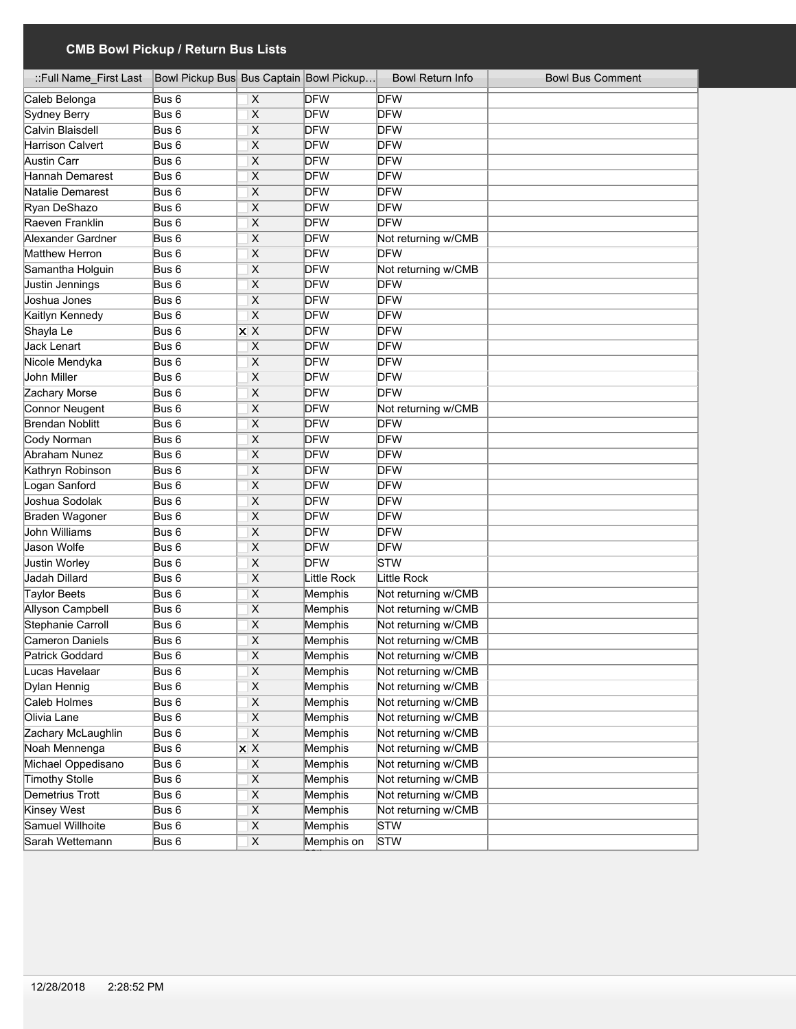| ::Full Name_First Last | Bowl Pickup Bus Bus Captain Bowl Pickup |                                                 |                    | <b>Bowl Return Info</b> | <b>Bowl Bus Comment</b> |
|------------------------|-----------------------------------------|-------------------------------------------------|--------------------|-------------------------|-------------------------|
| Caleb Belonga          | Bus 6                                   | X                                               | <b>DFW</b>         | <b>DFW</b>              |                         |
| Sydney Berry           | Bus <sub>6</sub>                        | $\overline{\mathsf{x}}$                         | <b>DFW</b>         | <b>DFW</b>              |                         |
| Calvin Blaisdell       | Bus 6                                   | X                                               | <b>DFW</b>         | DFW                     |                         |
| Harrison Calvert       | Bus 6                                   | $\overline{\mathsf{x}}$                         | <b>DFW</b>         | <b>DFW</b>              |                         |
| Austin Carr            | Bus 6                                   | $\overline{\mathsf{x}}$                         | <b>DFW</b>         | <b>DFW</b>              |                         |
| Hannah Demarest        | Bus 6                                   | $\overline{\mathsf{x}}$                         | <b>DFW</b>         | <b>DFW</b>              |                         |
| Natalie Demarest       | Bus 6                                   | $\overline{\mathsf{x}}$                         | <b>DFW</b>         | <b>DFW</b>              |                         |
| Ryan DeShazo           | Bus 6                                   | $\overline{\mathsf{x}}$                         | <b>DFW</b>         | <b>DFW</b>              |                         |
| Raeven Franklin        | Bus 6                                   | $\overline{\mathsf{x}}$                         | <b>DFW</b>         | <b>DFW</b>              |                         |
| Alexander Gardner      | Bus <sub>6</sub>                        | X                                               | <b>DFW</b>         | Not returning w/CMB     |                         |
| Matthew Herron         | Bus 6                                   | X                                               | <b>DFW</b>         | <b>DFW</b>              |                         |
| Samantha Holguin       | Bus <sub>6</sub>                        | $\overline{\mathsf{x}}$                         | <b>DFW</b>         | Not returning w/CMB     |                         |
| Justin Jennings        | Bus <sub>6</sub>                        | X                                               | <b>DFW</b>         | <b>DFW</b>              |                         |
| Joshua Jones           | Bus 6                                   | X                                               | <b>DFW</b>         | <b>DFW</b>              |                         |
| Kaitlyn Kennedy        | Bus <sub>6</sub>                        | $\overline{\mathsf{x}}$                         | <b>DFW</b>         | <b>DFW</b>              |                         |
| Shayla Le              | Bus 6                                   | $\overline{\mathsf{x} \mathsf{x}}$              | <b>DFW</b>         | <b>DFW</b>              |                         |
| Jack Lenart            | Bus <sub>6</sub>                        | X                                               | <b>DFW</b>         | <b>DFW</b>              |                         |
| Nicole Mendyka         | Bus 6                                   | X                                               | <b>DFW</b>         | <b>DFW</b>              |                         |
| John Miller            | Bus <sub>6</sub>                        | X                                               | <b>DFW</b>         | <b>DFW</b>              |                         |
| Zachary Morse          | Bus <sub>6</sub>                        | X                                               | <b>DFW</b>         | <b>DFW</b>              |                         |
| Connor Neugent         | Bus 6                                   | X                                               | <b>DFW</b>         | Not returning w/CMB     |                         |
| <b>Brendan Noblitt</b> | Bus 6                                   | X                                               | <b>DFW</b>         | <b>DFW</b>              |                         |
| Cody Norman            | Bus <sub>6</sub>                        | X                                               | <b>DFW</b>         | <b>DFW</b>              |                         |
| Abraham Nunez          | Bus <sub>6</sub>                        | X                                               | <b>DFW</b>         | <b>DFW</b>              |                         |
| Kathryn Robinson       | Bus <sub>6</sub>                        | X                                               | <b>DFW</b>         | <b>DFW</b>              |                         |
| Logan Sanford          | Bus <sub>6</sub>                        | X                                               | <b>DFW</b>         | <b>DFW</b>              |                         |
| Joshua Sodolak         | Bus 6                                   | X                                               | <b>DFW</b>         | <b>DFW</b>              |                         |
| Braden Wagoner         | Bus <sub>6</sub>                        | $\overline{\mathsf{x}}$                         | <b>DFW</b>         | <b>DFW</b>              |                         |
| John Williams          | Bus 6                                   | $\overline{\mathsf{x}}$                         | <b>DFW</b>         | <b>DFW</b>              |                         |
| Jason Wolfe            | Bus 6                                   | X                                               | <b>DFW</b>         | <b>DFW</b>              |                         |
| <b>Justin Worley</b>   | Bus 6                                   | X                                               | <b>DFW</b>         | STW                     |                         |
| Jadah Dillard          | Bus 6                                   | X                                               | <b>Little Rock</b> | Little Rock             |                         |
| Taylor Beets           | Bus <sub>6</sub>                        | X                                               | Memphis            | Not returning w/CMB     |                         |
| Allyson Campbell       | Bus <sub>6</sub>                        | X                                               | Memphis            | Not returning w/CMB     |                         |
| Stephanie Carroll      | Bus <sub>6</sub>                        | $\overline{\mathsf{x}}$                         | Memphis            | Not returning w/CMB     |                         |
| Cameron Daniels        | Bus <sub>6</sub>                        | X                                               | Memphis            | Not returning w/CMB     |                         |
| Patrick Goddard        | Bus 6                                   | $\overline{\mathsf{X}}$                         | Memphis            | Not returning w/CMB     |                         |
| Lucas Havelaar         | Bus 6                                   | $\pmb{\mathsf{X}}$                              | Memphis            | Not returning w/CMB     |                         |
| Dylan Hennig           | Bus 6                                   | $\mathsf X$                                     | Memphis            | Not returning w/CMB     |                         |
| Caleb Holmes           | Bus 6                                   | $\overline{\mathsf{X}}$                         | Memphis            | Not returning w/CMB     |                         |
| Olivia Lane            | Bus 6                                   | $\overline{\mathsf{X}}$                         | Memphis            | Not returning w/CMB     |                         |
| Zachary McLaughlin     | Bus 6                                   | $\overline{\mathsf{X}}$                         | Memphis            | Not returning w/CMB     |                         |
| Noah Mennenga          | Bus 6                                   | $\overline{\mathsf{x}}$ $\overline{\mathsf{x}}$ | Memphis            | Not returning w/CMB     |                         |
| Michael Oppedisano     | Bus 6                                   | $\overline{X}$                                  | Memphis            | Not returning w/CMB     |                         |
| <b>Timothy Stolle</b>  | Bus 6                                   | $\overline{\mathsf{X}}$                         | Memphis            | Not returning w/CMB     |                         |
| Demetrius Trott        | Bus 6                                   | $\mathsf X$                                     | Memphis            | Not returning w/CMB     |                         |
| Kinsey West            | Bus 6                                   | $\overline{X}$                                  | Memphis            | Not returning w/CMB     |                         |
| Samuel Willhoite       | Bus 6                                   | $\overline{X}$                                  | Memphis            | STW                     |                         |
| Sarah Wettemann        | Bus 6                                   | $\pmb{\mathsf{X}}$                              | Memphis on         | STW                     |                         |